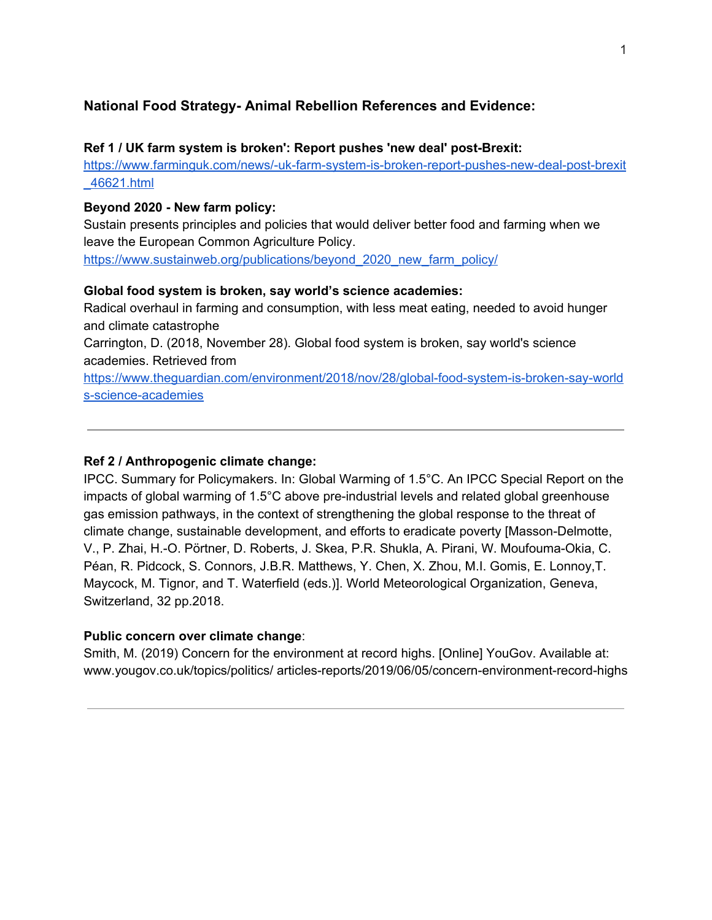# **National Food Strategy- Animal Rebellion References and Evidence:**

### **Ref 1 / UK farm system is broken': Report pushes 'new deal' post-Brexit:**

[https://www.farminguk.com/news/-uk-farm-system-is-broken-report-pushes-new-deal-post-brexit](https://www.farminguk.com/news/-uk-farm-system-is-broken-report-pushes-new-deal-post-brexit_46621.html) [\\_46621.html](https://www.farminguk.com/news/-uk-farm-system-is-broken-report-pushes-new-deal-post-brexit_46621.html)

## **Beyond 2020 - New farm policy:**

Sustain presents principles and policies that would deliver better food and farming when we leave the European Common Agriculture Policy. [https://www.sustainweb.org/publications/beyond\\_2020\\_new\\_farm\\_policy/](https://www.sustainweb.org/publications/beyond_2020_new_farm_policy/)

## **Global food system is broken, say world's science academies:**

Radical overhaul in farming and consumption, with less meat eating, needed to avoid hunger and climate catastrophe

Carrington, D. (2018, November 28). Global food system is broken, say world's science academies. Retrieved from

[https://www.theguardian.com/environment/2018/nov/28/global-food-system-is-broken-say-world](https://www.theguardian.com/environment/2018/nov/28/global-food-system-is-broken-say-worlds-science-academies) [s-science-academies](https://www.theguardian.com/environment/2018/nov/28/global-food-system-is-broken-say-worlds-science-academies)

### **Ref 2 / Anthropogenic climate change:**

IPCC. Summary for Policymakers. In: Global Warming of 1.5°C. An IPCC Special Report on the impacts of global warming of 1.5°C above pre-industrial levels and related global greenhouse gas emission pathways, in the context of strengthening the global response to the threat of climate change, sustainable development, and efforts to eradicate poverty [Masson-Delmotte, V., P. Zhai, H.-O. Pörtner, D. Roberts, J. Skea, P.R. Shukla, A. Pirani, W. Moufouma-Okia, C. Péan, R. Pidcock, S. Connors, J.B.R. Matthews, Y. Chen, X. Zhou, M.I. Gomis, E. Lonnoy,T. Maycock, M. Tignor, and T. Waterfield (eds.)]. World Meteorological Organization, Geneva, Switzerland, 32 pp.2018.

## **Public concern over climate change**:

Smith, M. (2019) Concern for the environment at record highs. [Online] YouGov. Available at: www.yougov.co.uk/topics/politics/ articles-reports/2019/06/05/concern-environment-record-highs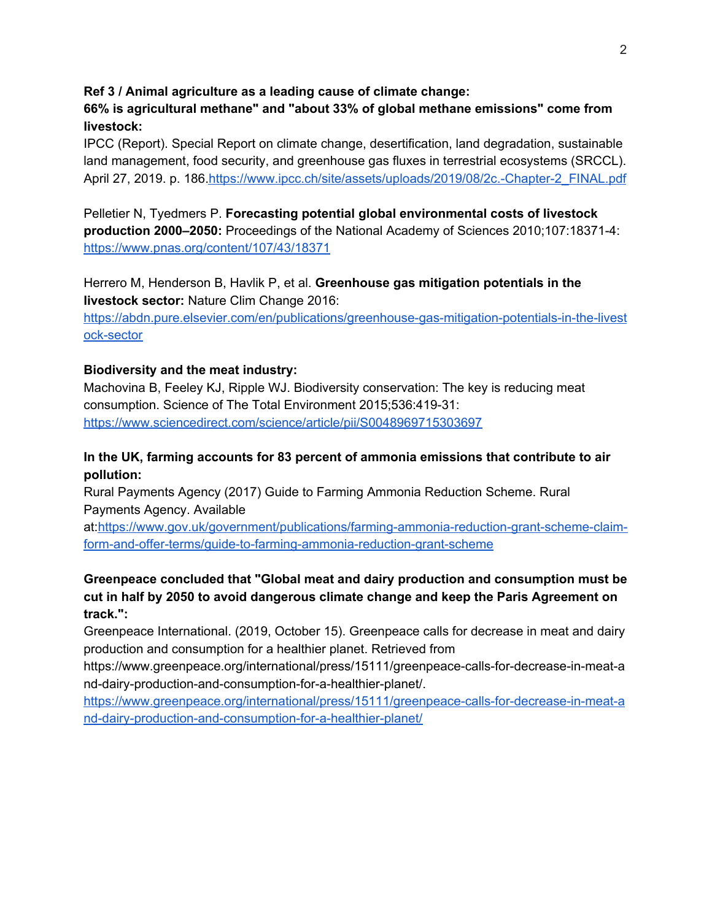## **Ref 3 / Animal agriculture as a leading cause of climate change:**

**66% is agricultural methane" and "about 33% of global methane emissions" come from livestock:**

IPCC (Report). Special Report on climate change, desertification, land degradation, sustainable land management, food security, and greenhouse gas fluxes in terrestrial ecosystems (SRCCL). April 27, 2019. p. 186[.https://www.ipcc.ch/site/assets/uploads/2019/08/2c.-Chapter-2\\_FINAL.pdf](https://www.ipcc.ch/site/assets/uploads/2019/08/2c.-Chapter-2_FINAL.pdf)

Pelletier N, Tyedmers P. **Forecasting potential global environmental costs of livestock production 2000–2050:** Proceedings of the National Academy of Sciences 2010;107:18371-4: <https://www.pnas.org/content/107/43/18371>

Herrero M, Henderson B, Havlik P, et al. **Greenhouse gas mitigation potentials in the livestock sector:** Nature Clim Change 2016:

[https://abdn.pure.elsevier.com/en/publications/greenhouse-gas-mitigation-potentials-in-the-livest](https://abdn.pure.elsevier.com/en/publications/greenhouse-gas-mitigation-potentials-in-the-livestock-sector) [ock-sector](https://abdn.pure.elsevier.com/en/publications/greenhouse-gas-mitigation-potentials-in-the-livestock-sector)

## **Biodiversity and the meat industry:**

Machovina B, Feeley KJ, Ripple WJ. Biodiversity conservation: The key is reducing meat consumption. Science of The Total Environment 2015;536:419-31: <https://www.sciencedirect.com/science/article/pii/S0048969715303697>

## **In the UK, farming accounts for 83 percent of ammonia emissions that contribute to air pollution:**

Rural Payments Agency (2017) Guide to Farming Ammonia Reduction Scheme. Rural Payments Agency. Available

at[:https://www.gov.uk/government/publications/farming-ammonia-reduction-grant-scheme-claim](https://www.gov.uk/government/publications/farming-ammonia-reduction-grant-scheme-claim-form-and-offer-terms/guide-to-farming-ammonia-reduction-grant-scheme)[form-and-offer-terms/guide-to-farming-ammonia-reduction-grant-scheme](https://www.gov.uk/government/publications/farming-ammonia-reduction-grant-scheme-claim-form-and-offer-terms/guide-to-farming-ammonia-reduction-grant-scheme)

# **Greenpeace concluded that "Global meat and dairy production and consumption must be cut in half by 2050 to avoid dangerous climate change and keep the Paris Agreement on track.":**

Greenpeace International. (2019, October 15). Greenpeace calls for decrease in meat and dairy production and consumption for a healthier planet. Retrieved from

https://www.greenpeace.org/international/press/15111/greenpeace-calls-for-decrease-in-meat-a nd-dairy-production-and-consumption-for-a-healthier-planet/.

[https://www.greenpeace.org/international/press/15111/greenpeace-calls-for-decrease-in-meat-a](https://www.greenpeace.org/international/press/15111/greenpeace-calls-for-decrease-in-meat-and-dairy-production-and-consumption-for-a-healthier-planet/) [nd-dairy-production-and-consumption-for-a-healthier-planet/](https://www.greenpeace.org/international/press/15111/greenpeace-calls-for-decrease-in-meat-and-dairy-production-and-consumption-for-a-healthier-planet/)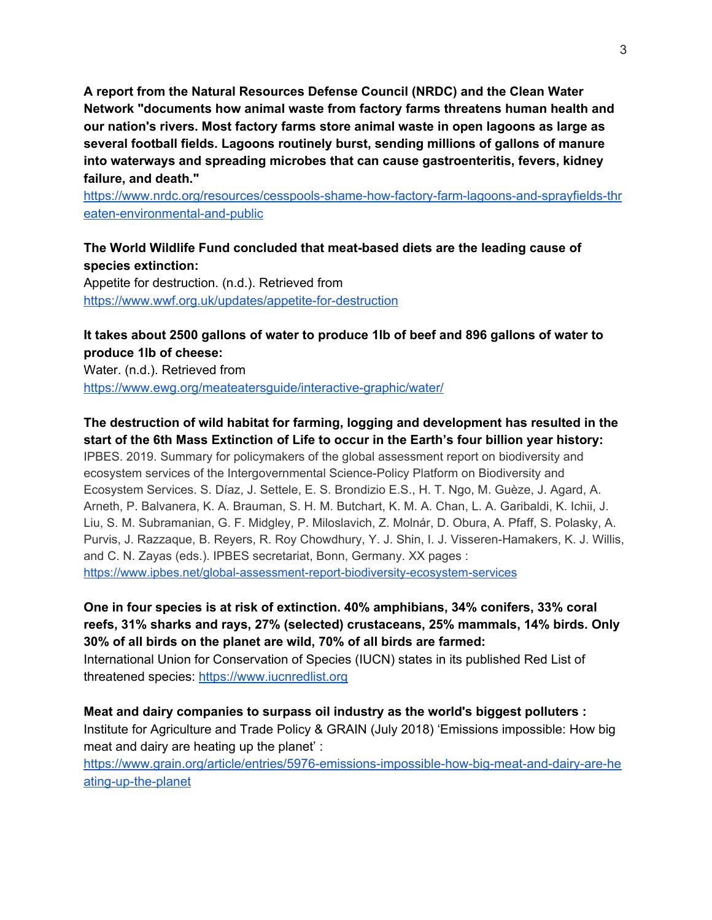**A report from the Natural Resources Defense Council (NRDC) and the Clean Water Network "documents how animal waste from factory farms threatens human health and our nation's rivers. Most factory farms store animal waste in open lagoons as large as several football fields. Lagoons routinely burst, sending millions of gallons of manure into waterways and spreading microbes that can cause gastroenteritis, fevers, kidney failure, and death."**

[https://www.nrdc.org/resources/cesspools-shame-how-factory-farm-lagoons-and-sprayfields-thr](https://www.nrdc.org/resources/cesspools-shame-how-factory-farm-lagoons-and-sprayfields-threaten-environmental-and-public) [eaten-environmental-and-public](https://www.nrdc.org/resources/cesspools-shame-how-factory-farm-lagoons-and-sprayfields-threaten-environmental-and-public)

**The World Wildlife Fund concluded that meat-based diets are the leading cause of species extinction:** Appetite for destruction. (n.d.). Retrieved from <https://www.wwf.org.uk/updates/appetite-for-destruction>

# **It takes about 2500 gallons of water to produce 1lb of beef and 896 gallons of water to produce 1lb of cheese:**

Water. (n.d.). Retrieved from <https://www.ewg.org/meateatersguide/interactive-graphic/water/>

# **The destruction of wild habitat for farming, logging and development has resulted in the start of the 6th Mass Extinction of Life to occur in the Earth's four billion year history:**

IPBES. 2019. Summary for policymakers of the global assessment report on biodiversity and ecosystem services of the Intergovernmental Science-Policy Platform on Biodiversity and Ecosystem Services. S. Díaz, J. Settele, E. S. Brondizio E.S., H. T. Ngo, M. Guèze, J. Agard, A. Arneth, P. Balvanera, K. A. Brauman, S. H. M. Butchart, K. M. A. Chan, L. A. Garibaldi, K. Ichii, J. Liu, S. M. Subramanian, G. F. Midgley, P. Miloslavich, Z. Molnár, D. Obura, A. Pfaff, S. Polasky, A. Purvis, J. Razzaque, B. Reyers, R. Roy Chowdhury, Y. J. Shin, I. J. Visseren-Hamakers, K. J. Willis, and C. N. Zayas (eds.). IPBES secretariat, Bonn, Germany. XX pages : <https://www.ipbes.net/global-assessment-report-biodiversity-ecosystem-services>

**One in four species is at risk of extinction. 40% amphibians, 34% conifers, 33% coral reefs, 31% sharks and rays, 27% (selected) crustaceans, 25% mammals, 14% birds. Only 30% of all birds on the planet are wild, 70% of all birds are farmed:**

International Union for Conservation of Species (IUCN) states in its published Red List of threatened species: [https://www.iucnredlist.org](https://www.iucnredlist.org/)

**Meat and dairy companies to surpass oil industry as the world's biggest polluters :** Institute for Agriculture and Trade Policy & GRAIN (July 2018) 'Emissions impossible: How big meat and dairy are heating up the planet' :

[https://www.grain.org/article/entries/5976-emissions-impossible-how-big-meat-and-dairy-are-he](https://www.grain.org/article/entries/5976-emissions-impossible-how-big-meat-and-dairy-are-heating-up-the-planet) [ating-up-the-planet](https://www.grain.org/article/entries/5976-emissions-impossible-how-big-meat-and-dairy-are-heating-up-the-planet)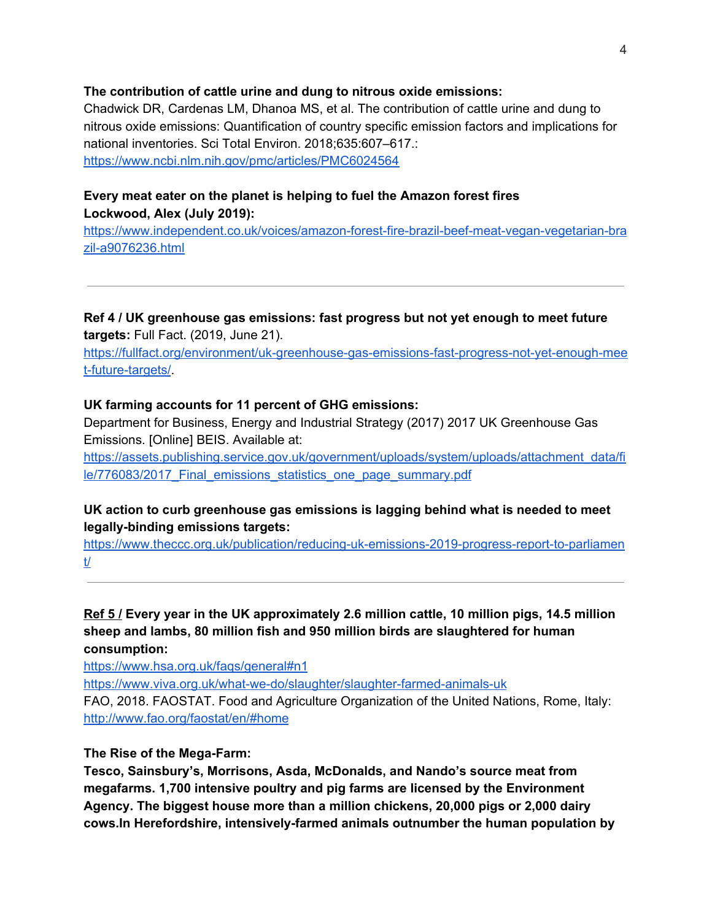### **The contribution of cattle urine and dung to nitrous oxide emissions:**

Chadwick DR, Cardenas LM, Dhanoa MS, et al. The contribution of cattle urine and dung to nitrous oxide emissions: Quantification of country specific emission factors and implications for national inventories. Sci Total Environ. 2018;635:607–617.: <https://www.ncbi.nlm.nih.gov/pmc/articles/PMC6024564>

## **Every meat eater on the planet is helping to fuel the Amazon forest fires Lockwood, Alex (July 2019):**

[https://www.independent.co.uk/voices/amazon-forest-fire-brazil-beef-meat-vegan-vegetarian-bra](https://www.independent.co.uk/voices/amazon-forest-fire-brazil-beef-meat-vegan-vegetarian-brazil-a9076236.html) [zil-a9076236.html](https://www.independent.co.uk/voices/amazon-forest-fire-brazil-beef-meat-vegan-vegetarian-brazil-a9076236.html)

**Ref 4 / UK greenhouse gas emissions: fast progress but not yet enough to meet future targets:** Full Fact. (2019, June 21).

[https://fullfact.org/environment/uk-greenhouse-gas-emissions-fast-progress-not-yet-enough-mee](https://fullfact.org/environment/uk-greenhouse-gas-emissions-fast-progress-not-yet-enough-meet-future-targets/) [t-future-targets/](https://fullfact.org/environment/uk-greenhouse-gas-emissions-fast-progress-not-yet-enough-meet-future-targets/).

## **UK farming accounts for 11 percent of GHG emissions:**

Department for Business, Energy and Industrial Strategy (2017) 2017 UK Greenhouse Gas Emissions. [Online] BEIS. Available at:

[https://assets.publishing.service.gov.uk/government/uploads/system/uploads/attachment\\_data/fi](https://assets.publishing.service.gov.uk/government/uploads/system/uploads/attachment_data/file/776083/2017_Final_emissions_statistics_one_page_summary.pdf) le/776083/2017 Final emissions statistics one page summary.pdf

# **UK action to curb greenhouse gas emissions is lagging behind what is needed to meet legally-binding emissions targets:**

[https://www.theccc.org.uk/publication/reducing-uk-emissions-2019-progress-report-to-parliamen](https://www.theccc.org.uk/publication/reducing-uk-emissions-2019-progress-report-to-parliament/) [t/](https://www.theccc.org.uk/publication/reducing-uk-emissions-2019-progress-report-to-parliament/)

# **Ref 5 / Every year in the UK approximately 2.6 million cattle, 10 million pigs, 14.5 million sheep and lambs, 80 million fish and 950 million birds are slaughtered for human consumption:**

<https://www.hsa.org.uk/faqs/general#n1>

<https://www.viva.org.uk/what-we-do/slaughter/slaughter-farmed-animals-uk>

FAO, 2018. FAOSTAT. Food and Agriculture Organization of the United Nations, Rome, Italy: <http://www.fao.org/faostat/en/#home>

## **The Rise of the Mega-Farm:**

**Tesco, Sainsbury's, Morrisons, Asda, McDonalds, and Nando's source meat from megafarms. 1,700 intensive poultry and pig farms are licensed by the Environment Agency. The biggest house more than a million chickens, 20,000 pigs or 2,000 dairy cows.In Herefordshire, intensively-farmed animals outnumber the human population by**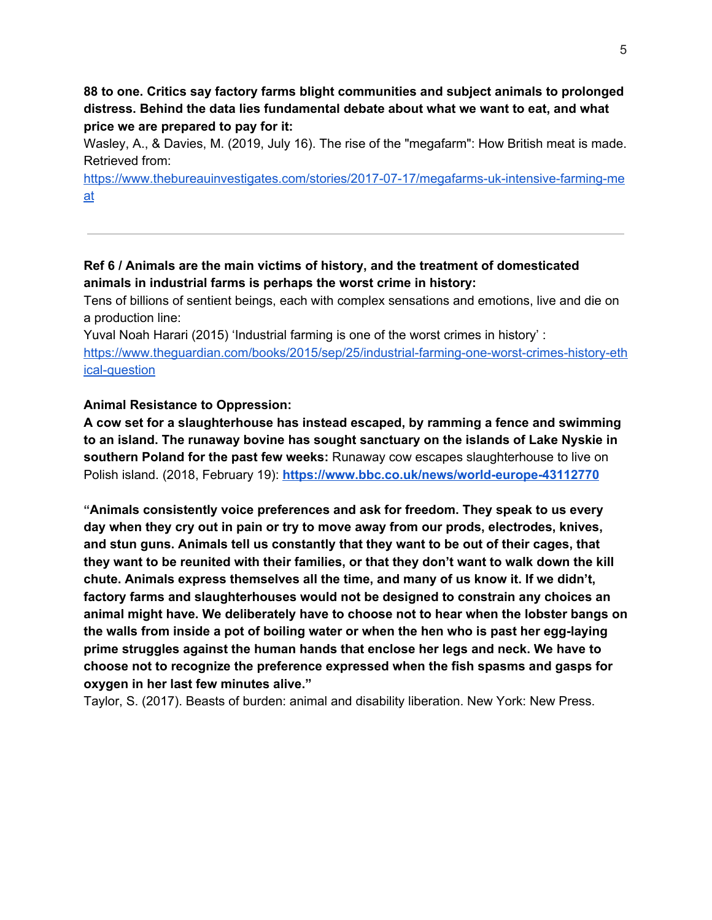**88 to one. Critics say factory farms blight communities and subject animals to prolonged distress. Behind the data lies fundamental debate about what we want to eat, and what price we are prepared to pay for it:**

Wasley, A., & Davies, M. (2019, July 16). The rise of the "megafarm": How British meat is made. Retrieved from:

[https://www.thebureauinvestigates.com/stories/2017-07-17/megafarms-uk-intensive-farming-me](https://www.thebureauinvestigates.com/stories/2017-07-17/megafarms-uk-intensive-farming-meat) [at](https://www.thebureauinvestigates.com/stories/2017-07-17/megafarms-uk-intensive-farming-meat)

## **Ref 6 / Animals are the main victims of history, and the treatment of domesticated animals in [industrial](https://www.theguardian.com/environment/2010/oct/25/farming-ecosystems-prince-charles) farms is perhaps the worst crime in history:**

Tens of billions of sentient beings, each with complex sensations and emotions, live and die on a production line:

Yuval Noah [Harari](https://www.theguardian.com/profile/yuval-noah-harari) (2015) 'Industrial farming is one of the worst crimes in history' : [https://www.theguardian.com/books/2015/sep/25/industrial-farming-one-worst-crimes-history-eth](https://www.theguardian.com/books/2015/sep/25/industrial-farming-one-worst-crimes-history-ethical-question) [ical-question](https://www.theguardian.com/books/2015/sep/25/industrial-farming-one-worst-crimes-history-ethical-question)

## **Animal Resistance to Oppression:**

**A cow set for a slaughterhouse has instead escaped, by ramming a fence and swimming to an island. The runaway bovine has sought sanctuary on the islands of Lake Nyskie in southern Poland for the past few weeks:** Runaway cow escapes slaughterhouse to live on Polish island. (2018, February 19): **<https://www.bbc.co.uk/news/world-europe-43112770>**

**"Animals consistently voice preferences and ask for freedom. They speak to us every day when they cry out in pain or try to move away from our prods, electrodes, knives, and stun guns. Animals tell us constantly that they want to be out of their cages, that they want to be reunited with their families, or that they don't want to walk down the kill chute. Animals express themselves all the time, and many of us know it. If we didn't, factory farms and slaughterhouses would not be designed to constrain any choices an animal might have. We deliberately have to choose not to hear when the lobster bangs on the walls from inside a pot of boiling water or when the hen who is past her egg-laying prime struggles against the human hands that enclose her legs and neck. We have to choose not to recognize the preference expressed when the fish spasms and gasps for oxygen in her last few minutes alive."**

Taylor, S. (2017). Beasts of burden: animal and disability liberation. New York: New Press.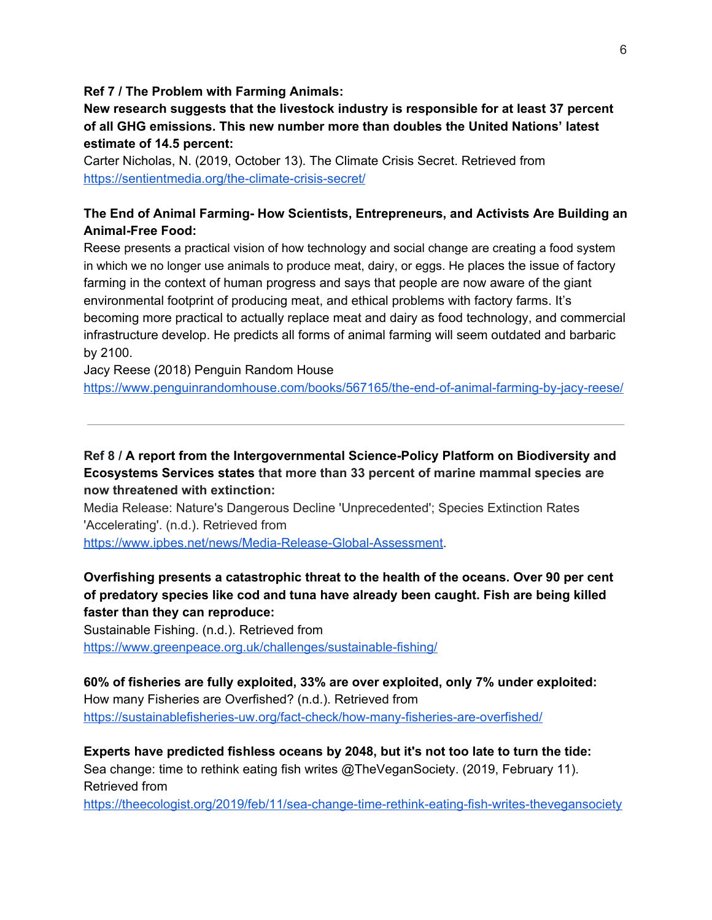#### **Ref 7 / The Problem with Farming Animals:**

**New research suggests that the livestock industry is responsible for at least 37 percent of all GHG emissions. This new number more than doubles the United Nations' latest estimate of 14.5 percent:**

Carter Nicholas, N. (2019, October 13). The Climate Crisis Secret. Retrieved from <https://sentientmedia.org/the-climate-crisis-secret/>

# **The End of Animal Farming- How Scientists, Entrepreneurs, and Activists Are Building an Animal-Free Food:**

Reese presents a practical vision of how technology and social change are creating a food system in which we no longer use animals to produce meat, dairy, or eggs. He places the issue of factory farming in the context of human progress and says that people are now aware of the giant environmental footprint of producing meat, and ethical problems with factory farms. It's becoming more practical to actually replace meat and dairy as food technology, and commercial infrastructure develop. He predicts all forms of animal farming will seem outdated and barbaric by 2100.

Jacy Reese (2018) Penguin Random House

<https://www.penguinrandomhouse.com/books/567165/the-end-of-animal-farming-by-jacy-reese/>

**Ref 8 / A report from the Intergovernmental Science-Policy Platform on Biodiversity and Ecosystems Services states that more than 33 percent of marine mammal species are now threatened with extinction:**

Media Release: Nature's Dangerous Decline 'Unprecedented'; Species Extinction Rates 'Accelerating'. (n.d.). Retrieved from

<https://www.ipbes.net/news/Media-Release-Global-Assessment>.

# **Overfishing presents a catastrophic threat to the health of the oceans. Over 90 per cent of predatory species like cod and tuna have already been caught. Fish are being killed faster than they can reproduce:**

Sustainable Fishing. (n.d.). Retrieved from <https://www.greenpeace.org.uk/challenges/sustainable-fishing/>

**60% of fisheries are fully exploited, 33% are over exploited, only 7% under exploited:** How many Fisheries are Overfished? (n.d.). Retrieved from <https://sustainablefisheries-uw.org/fact-check/how-many-fisheries-are-overfished/>

**Experts have predicted fishless oceans by 2048, but it's not too late to turn the tide:** Sea change: time to rethink eating fish writes @TheVeganSociety. (2019, February 11). Retrieved from

<https://theecologist.org/2019/feb/11/sea-change-time-rethink-eating-fish-writes-thevegansociety>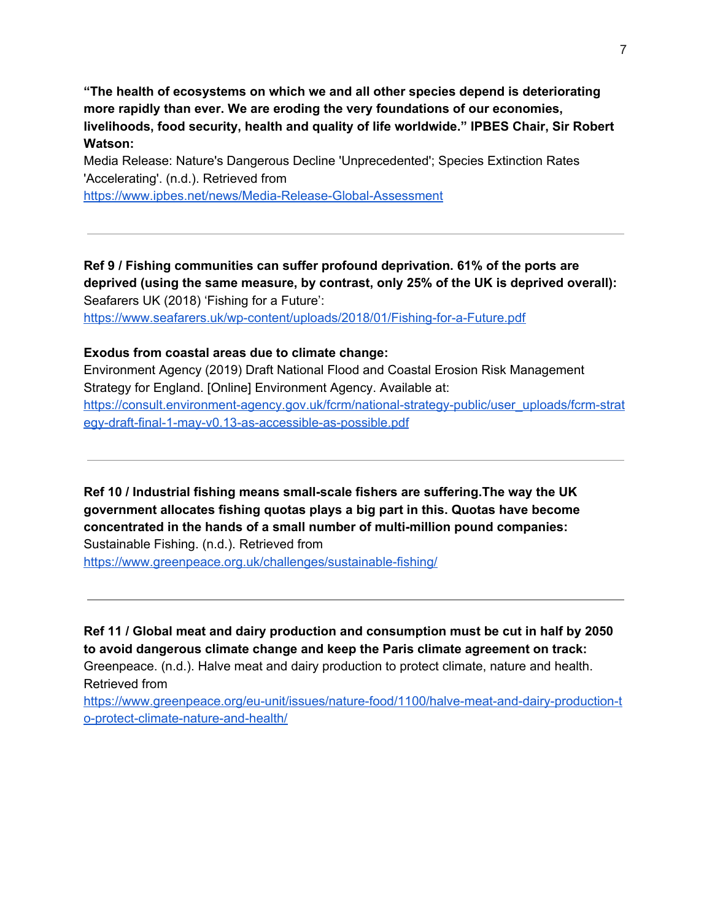**"The health of ecosystems on which we and all other species depend is deteriorating more rapidly than ever. We are eroding the very foundations of our economies, livelihoods, food security, health and quality of life worldwide." IPBES Chair, Sir Robert Watson:**

Media Release: Nature's Dangerous Decline 'Unprecedented'; Species Extinction Rates 'Accelerating'. (n.d.). Retrieved from

<https://www.ipbes.net/news/Media-Release-Global-Assessment>

**Ref 9 / Fishing communities can suffer profound deprivation. 61% of the ports are deprived (using the same measure, by contrast, only 25% of the UK is deprived overall):** Seafarers UK (2018) 'Fishing for a Future':

<https://www.seafarers.uk/wp-content/uploads/2018/01/Fishing-for-a-Future.pdf>

## **Exodus from coastal areas due to climate change:**

Environment Agency (2019) Draft National Flood and Coastal Erosion Risk Management Strategy for England. [Online] Environment Agency. Available at: [https://consult.environment-agency.gov.uk/fcrm/national-strategy-public/user\\_uploads/fcrm-strat](https://consult.environment-agency.gov.uk/fcrm/national-strategy-public/user_uploads/fcrm-strategy-draft-final-1-may-v0.13-as-accessible-as-possible.pdf) [egy-draft-final-1-may-v0.13-as-accessible-as-possible.pdf](https://consult.environment-agency.gov.uk/fcrm/national-strategy-public/user_uploads/fcrm-strategy-draft-final-1-may-v0.13-as-accessible-as-possible.pdf)

**Ref 10 / Industrial fishing means small-scale fishers are suffering.The way the UK government allocates fishing quotas plays a big part in this. Quotas have become concentrated in the hands of a small number of multi-million pound companies:**

Sustainable Fishing. (n.d.). Retrieved from

<https://www.greenpeace.org.uk/challenges/sustainable-fishing/>

**Ref 11 / Global meat and dairy production and consumption must be cut in half by 2050 to avoid dangerous climate change and keep the Paris climate agreement on track:** Greenpeace. (n.d.). Halve meat and dairy production to protect climate, nature and health. Retrieved from

[https://www.greenpeace.org/eu-unit/issues/nature-food/1100/halve-meat-and-dairy-production-t](https://www.greenpeace.org/eu-unit/issues/nature-food/1100/halve-meat-and-dairy-production-to-protect-climate-nature-and-health/) [o-protect-climate-nature-and-health/](https://www.greenpeace.org/eu-unit/issues/nature-food/1100/halve-meat-and-dairy-production-to-protect-climate-nature-and-health/)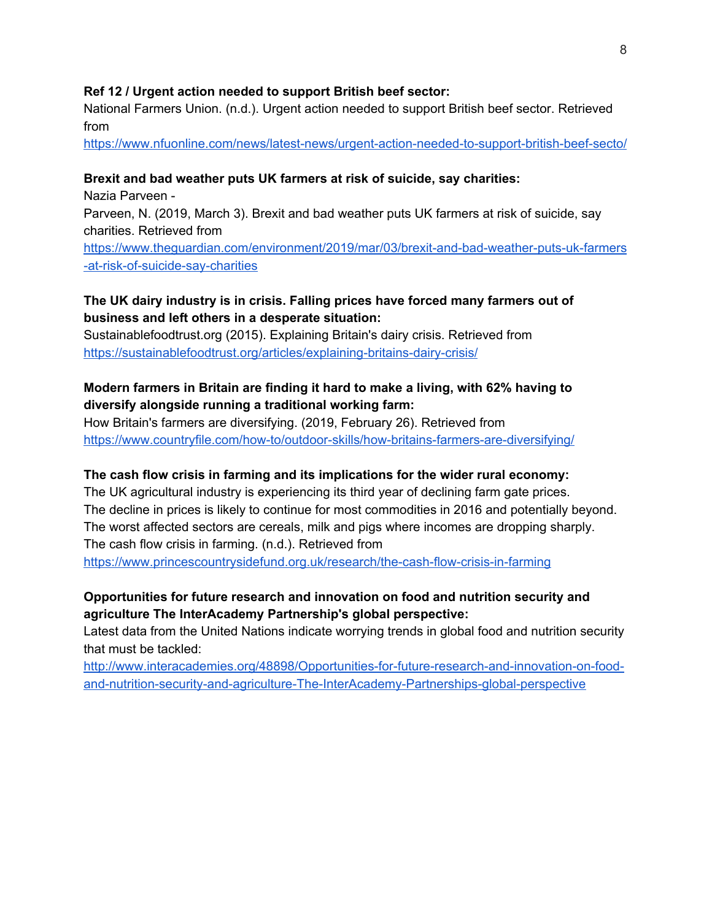#### **Ref 12 / Urgent action needed to support British beef sector:**

National Farmers Union. (n.d.). Urgent action needed to support British beef sector. Retrieved from

<https://www.nfuonline.com/news/latest-news/urgent-action-needed-to-support-british-beef-secto/>

### **Brexit and bad weather puts UK farmers at risk of suicide, say charities:**

Nazia [Parveen](https://www.theguardian.com/profile/nazia-parveen) - Parveen, N. (2019, March 3). Brexit and bad weather puts UK farmers at risk of suicide, say charities. Retrieved from [https://www.theguardian.com/environment/2019/mar/03/brexit-and-bad-weather-puts-uk-farmers](https://www.theguardian.com/environment/2019/mar/03/brexit-and-bad-weather-puts-uk-farmers-at-risk-of-suicide-say-charities) [-at-risk-of-suicide-say-charities](https://www.theguardian.com/environment/2019/mar/03/brexit-and-bad-weather-puts-uk-farmers-at-risk-of-suicide-say-charities)

## **The UK dairy industry is in crisis. Falling prices have forced many farmers out of business and left others in a desperate situation:**

Sustainablefoodtrust.org (2015). Explaining Britain's dairy crisis. Retrieved from <https://sustainablefoodtrust.org/articles/explaining-britains-dairy-crisis/>

## **Modern farmers in Britain are finding it hard to make a living, with 62% having to diversify alongside running a traditional working farm:**

How Britain's farmers are diversifying. (2019, February 26). Retrieved from <https://www.countryfile.com/how-to/outdoor-skills/how-britains-farmers-are-diversifying/>

# **The cash flow crisis in farming and its implications for the wider rural economy:**

The UK agricultural industry is experiencing its third year of declining farm gate prices. The decline in prices is likely to continue for most commodities in 2016 and potentially beyond. The worst affected sectors are cereals, milk and pigs where incomes are dropping sharply. The cash flow crisis in farming. (n.d.). Retrieved from

<https://www.princescountrysidefund.org.uk/research/the-cash-flow-crisis-in-farming>

# **Opportunities for future research and innovation on food and nutrition security and agriculture The InterAcademy Partnership's global perspective:**

Latest data from the United Nations indicate worrying trends in global food and nutrition security that must be tackled:

[http://www.interacademies.org/48898/Opportunities-for-future-research-and-innovation-on-food](http://www.interacademies.org/48898/Opportunities-for-future-research-and-innovation-on-food-and-nutrition-security-and-agriculture-The-InterAcademy-Partnerships-global-perspective)[and-nutrition-security-and-agriculture-The-InterAcademy-Partnerships-global-perspective](http://www.interacademies.org/48898/Opportunities-for-future-research-and-innovation-on-food-and-nutrition-security-and-agriculture-The-InterAcademy-Partnerships-global-perspective)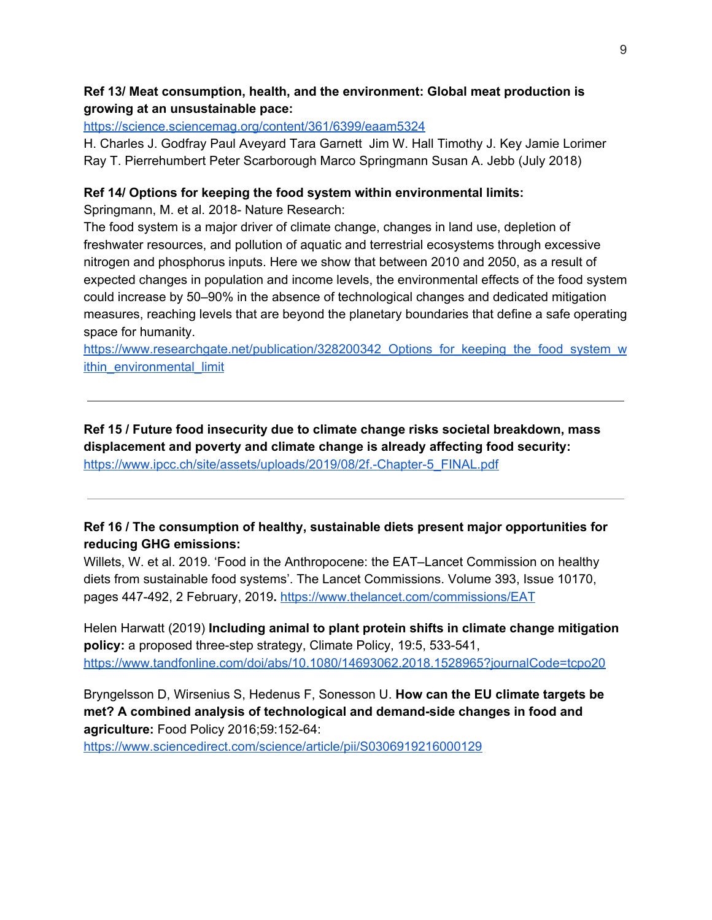## **Ref 13/ Meat consumption, health, and the environment: Global meat production is growing at an unsustainable pace:**

## <https://science.sciencemag.org/content/361/6399/eaam5324>

H. Charles J. Godfray Paul Aveyard Tara Garnett Jim W. Hall Timothy J. Key Jamie Lorimer Ray T. Pierrehumbert Peter Scarborough Marco Springmann Susan A. Jebb (July 2018)

## **Ref 14/ Options for keeping the food system within environmental limits:**

Springmann, M. et al. 2018- Nature Research:

The food system is a major driver of climate change, changes in land use, depletion of freshwater resources, and pollution of aquatic and terrestrial ecosystems through excessive nitrogen and phosphorus inputs. Here we show that between 2010 and 2050, as a result of expected changes in population and income levels, the environmental effects of the food system could increase by 50–90% in the absence of technological changes and dedicated mitigation measures, reaching levels that are beyond the planetary boundaries that define a safe operating space for humanity.

[https://www.researchgate.net/publication/328200342\\_Options\\_for\\_keeping\\_the\\_food\\_system\\_w](https://www.researchgate.net/publication/328200342_Options_for_keeping_the_food_system_within_environmental_limits) ithin environmental limit

**Ref 15 / Future food insecurity due to climate change risks societal breakdown, mass displacement and poverty and climate change is already affecting food security:** [https://www.ipcc.ch/site/assets/uploads/2019/08/2f.-Chapter-5\\_FINAL.pdf](https://www.ipcc.ch/site/assets/uploads/2019/08/2f.-Chapter-5_FINAL.pdf)

# **Ref 16 / The consumption of healthy, sustainable diets present major opportunities for reducing GHG emissions:**

Willets, W. et al. 2019. 'Food in the Anthropocene: the EAT–Lancet Commission on healthy diets from sustainable food systems'. The Lancet Commissions. Volume 393, Issue 10170, pages 447-492, 2 February, 2019**.** <https://www.thelancet.com/commissions/EAT>

Helen Harwatt (2019) **Including animal to plant protein shifts in climate change mitigation policy:** a proposed three-step strategy, Climate Policy, 19:5, 533-541, <https://www.tandfonline.com/doi/abs/10.1080/14693062.2018.1528965?journalCode=tcpo20>

Bryngelsson D, Wirsenius S, Hedenus F, Sonesson U. **How can the EU climate targets be met? A combined analysis of technological and demand-side changes in food and agriculture:** Food Policy 2016;59:152-64:

<https://www.sciencedirect.com/science/article/pii/S0306919216000129>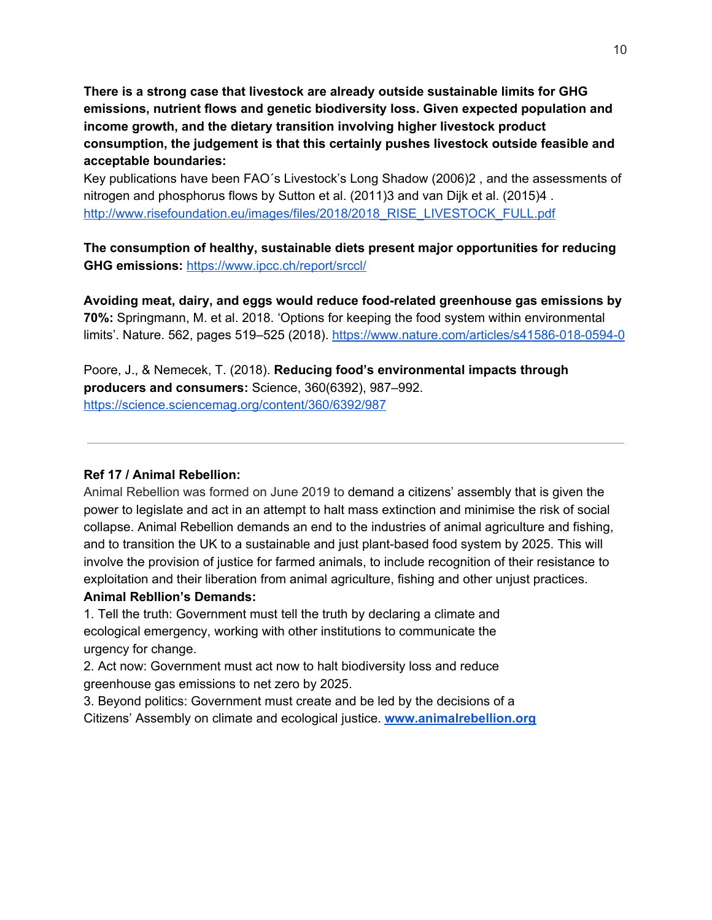**There is a strong case that livestock are already outside sustainable limits for GHG emissions, nutrient flows and genetic biodiversity loss. Given expected population and income growth, and the dietary transition involving higher livestock product consumption, the judgement is that this certainly pushes livestock outside feasible and acceptable boundaries:**

Key publications have been FAO´s Livestock's Long Shadow (2006)2 , and the assessments of nitrogen and phosphorus flows by Sutton et al. (2011)3 and van Dijk et al. (2015)4 . [http://www.risefoundation.eu/images/files/2018/2018\\_RISE\\_LIVESTOCK\\_FULL.pdf](http://www.risefoundation.eu/images/files/2018/2018_RISE_LIVESTOCK_FULL.pdf)

**The consumption of healthy, sustainable diets present major opportunities for reducing GHG emissions:** <https://www.ipcc.ch/report/srccl/>

**Avoiding meat, dairy, and eggs would reduce food-related greenhouse gas emissions by 70%:** Springmann, M. et al. 2018. 'Options for keeping the food system within environmental limits'. Nature. 562, pages 519-525 (2018). <https://www.nature.com/articles/s41586-018-0594-0>

Poore, J., & Nemecek, T. (2018). **Reducing food's environmental impacts through producers and consumers:** Science, 360(6392), 987–992. <https://science.sciencemag.org/content/360/6392/987>

## **Ref 17 / Animal Rebellion:**

Animal Rebellion was formed on June 2019 to demand a citizens' assembly that is given the power to legislate and act in an attempt to halt mass extinction and minimise the risk of social collapse. Animal Rebellion demands an end to the industries of animal agriculture and fishing, and to transition the UK to a sustainable and just plant-based food system by 2025. This will involve the provision of justice for farmed animals, to include recognition of their resistance to exploitation and their liberation from animal agriculture, fishing and other unjust practices.

## **Animal Rebllion's Demands:**

1. Tell the truth: Government must tell the truth by declaring a climate and ecological emergency, working with other institutions to communicate the urgency for change.

2. Act now: Government must act now to halt biodiversity loss and reduce greenhouse gas emissions to net zero by 2025.

3. Beyond politics: Government must create and be led by the decisions of a Citizens' Assembly on climate and ecological justice. **[www.animalrebellion.org](http://www.animalrebellion.org/)**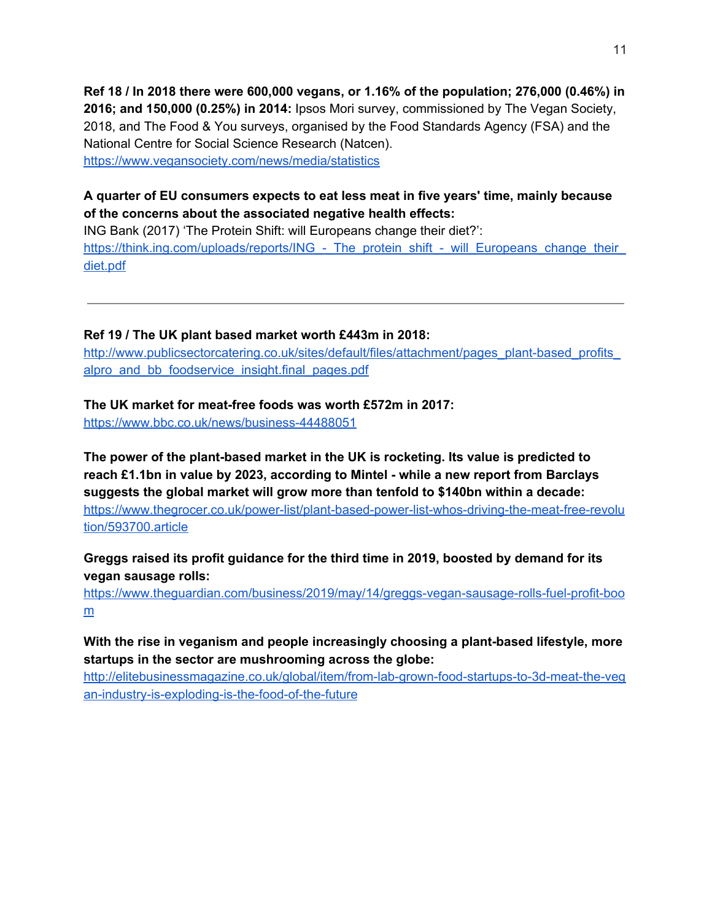**Ref 18 / In 2018 there were 600,000 vegans, or 1.16% of the population; 276,000 (0.46%) in 2016; and 150,000 (0.25%) in 2014:** Ipsos Mori survey, commissioned by The Vegan Society, 2018, and The Food & You surveys, organised by the Food Standards Agency (FSA) and the National Centre for Social Science Research (Natcen). <https://www.vegansociety.com/news/media/statistics>

# **A quarter of EU consumers expects to eat less meat in five years' time, mainly because of the concerns about the associated negative health effects:**

ING Bank (2017) 'The Protein Shift: will Europeans change their diet?': https://think.ing.com/uploads/reports/ING - The protein shift - will Europeans change their [diet.pdf](https://think.ing.com/uploads/reports/ING_-_The_protein_shift_-_will_Europeans_change_their_diet.pdf)

**Ref 19 / The UK plant based market worth £443m in 2018:**

http://www.publicsectorcatering.co.uk/sites/default/files/attachment/pages\_plant-based\_profits alpro and bb foodservice insight.final pages.pdf

**The UK market for meat-free foods was worth £572m in 2017:**

<https://www.bbc.co.uk/news/business-44488051>

**The power of the plant-based market in the UK is rocketing. Its value is predicted to reach £1.1bn in value by 2023, according to Mintel - while a new report from Barclays suggests the global market will grow more than tenfold to \$140bn within a decade:** [https://www.thegrocer.co.uk/power-list/plant-based-power-list-whos-driving-the-meat-free-revolu](https://www.thegrocer.co.uk/power-list/plant-based-power-list-whos-driving-the-meat-free-revolution/593700.article) [tion/593700.article](https://www.thegrocer.co.uk/power-list/plant-based-power-list-whos-driving-the-meat-free-revolution/593700.article)

**Greggs raised its profit guidance for the third time in 2019, boosted by demand for its vegan sausage rolls:**

[https://www.theguardian.com/business/2019/may/14/greggs-vegan-sausage-rolls-fuel-profit-boo](https://www.theguardian.com/business/2019/may/14/greggs-vegan-sausage-rolls-fuel-profit-boom) [m](https://www.theguardian.com/business/2019/may/14/greggs-vegan-sausage-rolls-fuel-profit-boom)

**With the rise in veganism and people increasingly choosing a plant-based lifestyle, more startups in the sector are mushrooming across the globe:**

[http://elitebusinessmagazine.co.uk/global/item/from-lab-grown-food-startups-to-3d-meat-the-veg](http://elitebusinessmagazine.co.uk/global/item/from-lab-grown-food-startups-to-3d-meat-the-vegan-industry-is-exploding-is-the-food-of-the-future) [an-industry-is-exploding-is-the-food-of-the-future](http://elitebusinessmagazine.co.uk/global/item/from-lab-grown-food-startups-to-3d-meat-the-vegan-industry-is-exploding-is-the-food-of-the-future)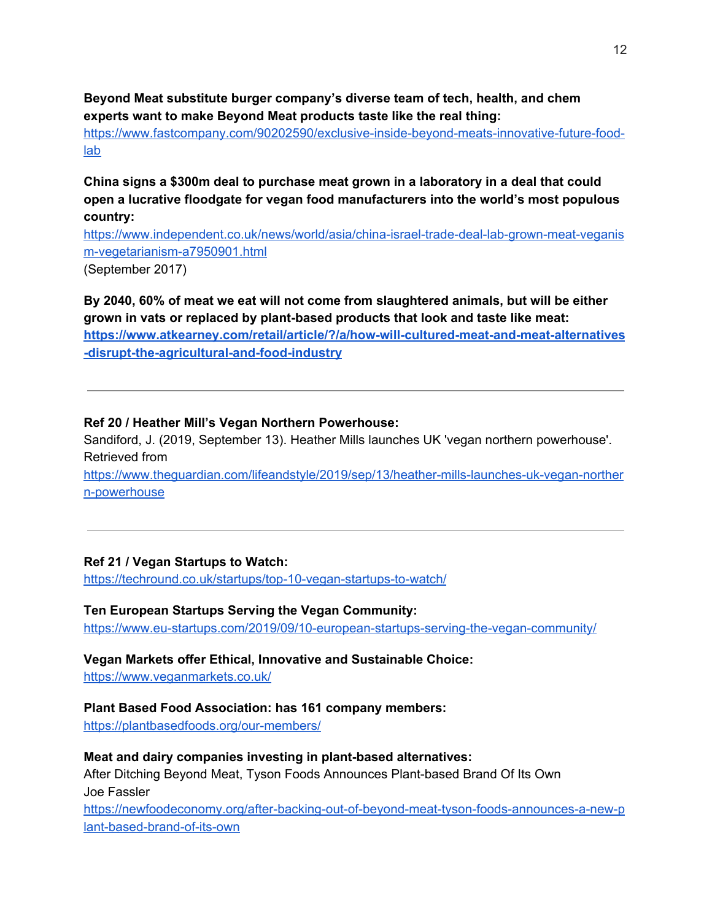**Beyond Meat substitute burger company's diverse team of tech, health, and chem experts want to make Beyond Meat products taste like the real thing:**

[https://www.fastcompany.com/90202590/exclusive-inside-beyond-meats-innovative-future-food](https://www.fastcompany.com/90202590/exclusive-inside-beyond-meats-innovative-future-food-lab)[lab](https://www.fastcompany.com/90202590/exclusive-inside-beyond-meats-innovative-future-food-lab)

**China signs a \$300m deal to purchase meat grown in a laboratory in a deal that could open a lucrative floodgate for vegan food manufacturers into the world's most populous country:**

[https://www.independent.co.uk/news/world/asia/china-israel-trade-deal-lab-grown-meat-veganis](https://www.independent.co.uk/news/world/asia/china-israel-trade-deal-lab-grown-meat-veganism-vegetarianism-a7950901.html) [m-vegetarianism-a7950901.html](https://www.independent.co.uk/news/world/asia/china-israel-trade-deal-lab-grown-meat-veganism-vegetarianism-a7950901.html) (September 2017)

**By 2040, 60% of meat we eat will not come from slaughtered animals, but will be either grown in vats or replaced by plant-based products that look and taste like meat: [https://www.atkearney.com/retail/article/?/a/how-will-cultured-meat-and-meat-alternatives](https://www.atkearney.com/retail/article/?/a/how-will-cultured-meat-and-meat-alternatives-disrupt-the-agricultural-and-food-industry) [-disrupt-the-agricultural-and-food-industry](https://www.atkearney.com/retail/article/?/a/how-will-cultured-meat-and-meat-alternatives-disrupt-the-agricultural-and-food-industry)**

### **Ref 20 / Heather Mill's Vegan Northern Powerhouse:**

Sandiford, J. (2019, September 13). Heather Mills launches UK 'vegan northern powerhouse'. Retrieved from

[https://www.theguardian.com/lifeandstyle/2019/sep/13/heather-mills-launches-uk-vegan-norther](https://www.theguardian.com/lifeandstyle/2019/sep/13/heather-mills-launches-uk-vegan-northern-powerhouse) [n-powerhouse](https://www.theguardian.com/lifeandstyle/2019/sep/13/heather-mills-launches-uk-vegan-northern-powerhouse)

## **Ref 21 / Vegan Startups to Watch:**

<https://techround.co.uk/startups/top-10-vegan-startups-to-watch/>

#### **Ten European Startups Serving the Vegan Community:**

<https://www.eu-startups.com/2019/09/10-european-startups-serving-the-vegan-community/>

# **Vegan Markets offer Ethical, Innovative and Sustainable Choice:**

<https://www.veganmarkets.co.uk/>

#### **Plant Based Food Association: has 161 company members:**

<https://plantbasedfoods.org/our-members/>

#### **Meat and dairy companies investing in plant-based alternatives:**

After Ditching Beyond Meat, Tyson Foods Announces Plant-based Brand Of Its Own Joe Fassler

[https://newfoodeconomy.org/after-backing-out-of-beyond-meat-tyson-foods-announces-a-new-p](https://newfoodeconomy.org/after-backing-out-of-beyond-meat-tyson-foods-announces-a-new-plant-based-brand-of-its-own/) [lant-based-brand-of-its-own](https://newfoodeconomy.org/after-backing-out-of-beyond-meat-tyson-foods-announces-a-new-plant-based-brand-of-its-own/)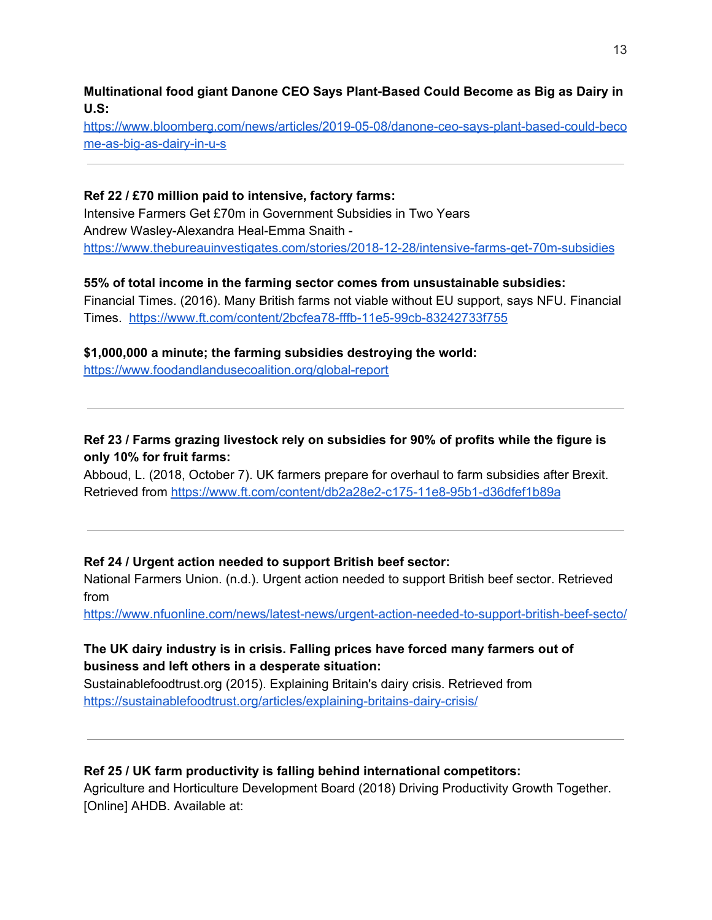**Multinational food giant Danone CEO Says Plant-Based Could Become as Big as Dairy in U.S:**

[https://www.bloomberg.com/news/articles/2019-05-08/danone-ceo-says-plant-based-could-beco](https://www.bloomberg.com/news/articles/2019-05-08/danone-ceo-says-plant-based-could-become-as-big-as-dairy-in-u-s) [me-as-big-as-dairy-in-u-s](https://www.bloomberg.com/news/articles/2019-05-08/danone-ceo-says-plant-based-could-become-as-big-as-dairy-in-u-s)

# **Ref 22 / £70 million paid to intensive, factory farms:**

Intensive Farmers Get £70m in Government Subsidies in Two Years Andrew Wasley-Alexandra Heal-Emma Snaith <https://www.thebureauinvestigates.com/stories/2018-12-28/intensive-farms-get-70m-subsidies>

# **55% of total income in the farming sector comes from unsustainable subsidies:**

Financial Times. (2016). Many British farms not viable without EU support, says NFU. Financial Times. <https://www.ft.com/content/2bcfea78-fffb-11e5-99cb-83242733f755>

# **\$1,000,000 a minute; the farming subsidies destroying the world:**

<https://www.foodandlandusecoalition.org/global-report>

# **Ref 23 / Farms grazing livestock rely on subsidies for 90% of profits while the figure is only 10% for fruit farms:**

Abboud, L. (2018, October 7). UK farmers prepare for overhaul to farm subsidies after Brexit. Retrieved from <https://www.ft.com/content/db2a28e2-c175-11e8-95b1-d36dfef1b89a>

# **Ref 24 / Urgent action needed to support British beef sector:**

National Farmers Union. (n.d.). Urgent action needed to support British beef sector. Retrieved from

<https://www.nfuonline.com/news/latest-news/urgent-action-needed-to-support-british-beef-secto/>

# **The UK dairy industry is in crisis. Falling prices have forced many farmers out of business and left others in a desperate situation:**

Sustainablefoodtrust.org (2015). Explaining Britain's dairy crisis. Retrieved from <https://sustainablefoodtrust.org/articles/explaining-britains-dairy-crisis/>

# **Ref 25 / UK farm productivity is falling behind international competitors:**

Agriculture and Horticulture Development Board (2018) Driving Productivity Growth Together. [Online] AHDB. Available at: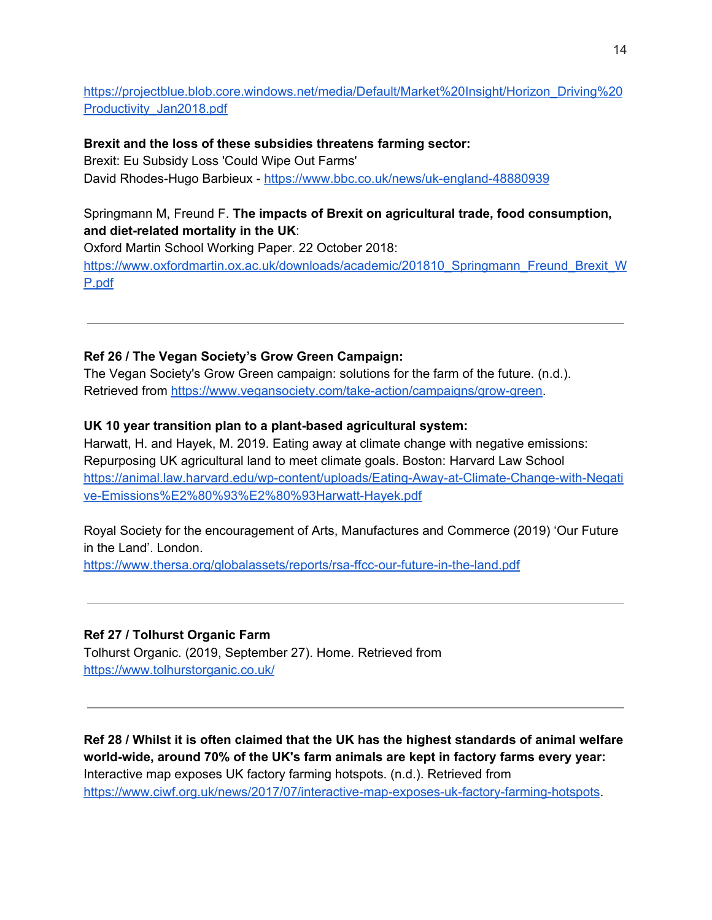[https://projectblue.blob.core.windows.net/media/Default/Market%20Insight/Horizon\\_Driving%20](https://projectblue.blob.core.windows.net/media/Default/Market%20Insight/Horizon_Driving%20Productivity_Jan2018.pdf) [Productivity\\_Jan2018.pdf](https://projectblue.blob.core.windows.net/media/Default/Market%20Insight/Horizon_Driving%20Productivity_Jan2018.pdf)

**Brexit and the loss of these subsidies threatens farming sector:** Brexit: Eu Subsidy Loss 'Could Wipe Out Farms' David Rhodes-Hugo Barbieux - <https://www.bbc.co.uk/news/uk-england-48880939>

# Springmann M, Freund F. **The impacts of Brexit on agricultural trade, food consumption, and diet-related mortality in the UK**:

Oxford Martin School Working Paper. 22 October 2018: [https://www.oxfordmartin.ox.ac.uk/downloads/academic/201810\\_Springmann\\_Freund\\_Brexit\\_W](https://www.oxfordmartin.ox.ac.uk/downloads/academic/201810_Springmann_Freund_Brexit_WP.pdf) [P.pdf](https://www.oxfordmartin.ox.ac.uk/downloads/academic/201810_Springmann_Freund_Brexit_WP.pdf)

# **Ref 26 / The Vegan Society's Grow Green Campaign:**

The Vegan Society's Grow Green campaign: solutions for the farm of the future. (n.d.). Retrieved from <https://www.vegansociety.com/take-action/campaigns/grow-green>.

# **UK 10 year transition plan to a plant-based agricultural system:**

Harwatt, H. and Hayek, M. 2019. Eating away at climate change with negative emissions: Repurposing UK agricultural land to meet climate goals. Boston: Harvard Law School [https://animal.law.harvard.edu/wp-content/uploads/Eating-Away-at-Climate-Change-with-Negati](https://animal.law.harvard.edu/wp-content/uploads/Eating-Away-at-Climate-Change-with-Negative-Emissions%E2%80%93%E2%80%93Harwatt-Hayek.pdf) [ve-Emissions%E2%80%93%E2%80%93Harwatt-Hayek.pdf](https://animal.law.harvard.edu/wp-content/uploads/Eating-Away-at-Climate-Change-with-Negative-Emissions%E2%80%93%E2%80%93Harwatt-Hayek.pdf)

Royal Society for the encouragement of Arts, Manufactures and Commerce (2019) 'Our Future in the Land'. London.

<https://www.thersa.org/globalassets/reports/rsa-ffcc-our-future-in-the-land.pdf>

# **Ref 27 / Tolhurst Organic Farm**

Tolhurst Organic. (2019, September 27). Home. Retrieved from <https://www.tolhurstorganic.co.uk/>

**Ref 28 / Whilst it is often claimed that the UK has the highest standards of animal welfare world-wide, around 70% of the UK's farm animals are kept in factory farms every year:** Interactive map exposes UK factory farming hotspots. (n.d.). Retrieved from <https://www.ciwf.org.uk/news/2017/07/interactive-map-exposes-uk-factory-farming-hotspots>.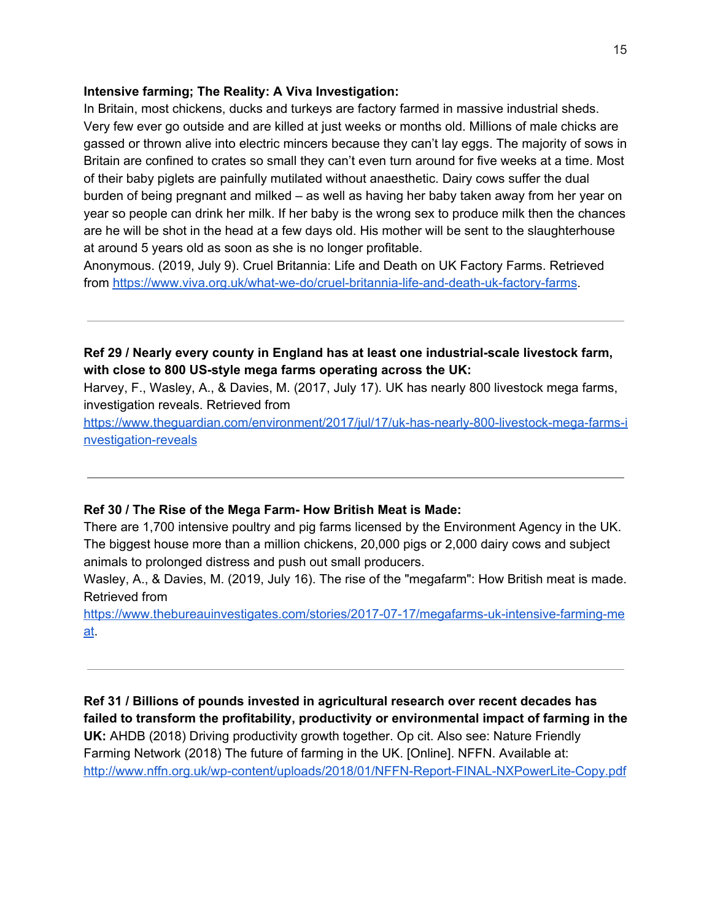### **Intensive farming; The Reality: A Viva Investigation:**

In Britain, most [chickens](http://www.viva.org.uk/what-we-do/our-work/chickens-meat), [ducks](http://www.viva.org.uk/what-we-do/our-work/ducks) and [turkeys](http://www.viva.org.uk/what-we-do/our-work/turkeys) are factory farmed in massive industrial sheds. Very few ever go outside and are killed at just weeks or months old. Millions of male chicks are gassed or thrown alive into electric [mincers](http://www.viva.org.uk/resources/video-library/hatchery-investigation) because they can't lay eggs. The majority of sows in Britain are [confined](http://www.piggles.org.uk/farrowing2.php) to crates so small they can't even turn around for five weeks at a time. Most of their baby piglets are painfully mutilated without [anaesthetic](http://www.piggles.org.uk/scandalofbritain.php). [Dairy](https://www.scarydairy.org.uk/) cows suffer the dual burden of being pregnant and milked – as well as having her baby taken away from her year on year so people can drink her milk. If her baby is the wrong sex to produce milk then the chances are he will be shot in the [head](https://scarydairy.org.uk/campaigns/cadbury-investigation) at a few days old. His mother will be sent to the slaughterhouse at around 5 years old as soon as she is no longer profitable.

Anonymous. (2019, July 9). Cruel Britannia: Life and Death on UK Factory Farms. Retrieved from <https://www.viva.org.uk/what-we-do/cruel-britannia-life-and-death-uk-factory-farms>.

# **Ref 29 / Nearly every county in England has at least one industrial-scale livestock farm, with close to 800 US-style mega farms operating across the UK:**

Harvey, F., Wasley, A., & Davies, M. (2017, July 17). UK has nearly 800 livestock mega farms, investigation reveals. Retrieved from

[https://www.theguardian.com/environment/2017/jul/17/uk-has-nearly-800-livestock-mega-farms-i](https://www.theguardian.com/environment/2017/jul/17/uk-has-nearly-800-livestock-mega-farms-investigation-reveals) [nvestigation-reveals](https://www.theguardian.com/environment/2017/jul/17/uk-has-nearly-800-livestock-mega-farms-investigation-reveals)

## **Ref 30 / The Rise of the Mega Farm- How British Meat is Made:**

There are 1,700 intensive poultry and pig farms licensed by the Environment Agency in the UK. The biggest house more than a million chickens, 20,000 pigs or 2,000 dairy cows and subject animals to prolonged distress and push out small producers.

Wasley, A., & Davies, M. (2019, July 16). The rise of the "megafarm": How British meat is made. Retrieved from

[https://www.thebureauinvestigates.com/stories/2017-07-17/megafarms-uk-intensive-farming-me](https://www.thebureauinvestigates.com/stories/2017-07-17/megafarms-uk-intensive-farming-meat) [at](https://www.thebureauinvestigates.com/stories/2017-07-17/megafarms-uk-intensive-farming-meat).

**Ref 31 / Billions of pounds invested in agricultural research over recent decades has failed to transform the profitability, productivity or environmental impact of farming in the UK:** AHDB (2018) Driving productivity growth together. Op cit. Also see: Nature Friendly Farming Network (2018) The future of farming in the UK. [Online]. NFFN. Available at: <http://www.nffn.org.uk/wp-content/uploads/2018/01/NFFN-Report-FINAL-NXPowerLite-Copy.pdf>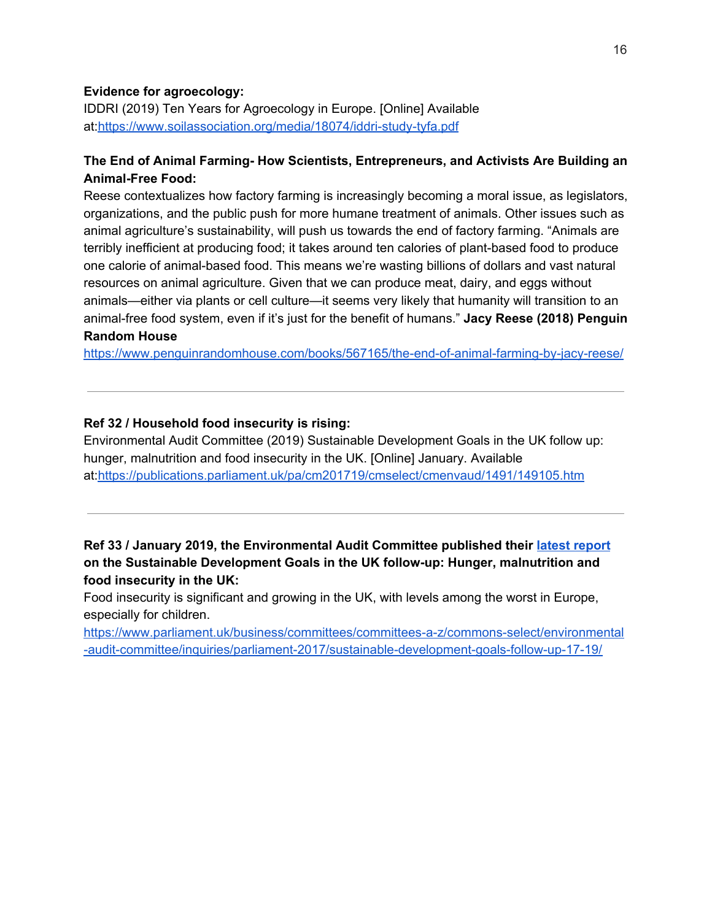## **Evidence for agroecology:**

IDDRI (2019) Ten Years for Agroecology in Europe. [Online] Available at[:https://www.soilassociation.org/media/18074/iddri-study-tyfa.pdf](https://www.soilassociation.org/media/18074/iddri-study-tyfa.pdf)

## **The End of Animal Farming- How Scientists, Entrepreneurs, and Activists Are Building an Animal-Free Food:**

Reese contextualizes how factory farming is increasingly becoming a moral issue, as legislators, organizations, and the public push for more humane treatment of animals. Other issues such as animal agriculture's sustainability, will push us towards the end of factory farming. "Animals are terribly inefficient at producing food; it takes around ten calories of plant-based food to produce one calorie of animal-based food. This means we're wasting billions of dollars and vast natural resources on animal agriculture. Given that we can produce meat, dairy, and eggs without animals—either via plants or cell culture—it seems very likely that humanity will transition to an animal-free food system, even if it's just for the benefit of humans." **Jacy Reese (2018) Penguin Random House**

<https://www.penguinrandomhouse.com/books/567165/the-end-of-animal-farming-by-jacy-reese/>

### **Ref 32 / Household food insecurity is rising:**

Environmental Audit Committee (2019) Sustainable Development Goals in the UK follow up: hunger, malnutrition and food insecurity in the UK. [Online] January. Available at[:https://publications.parliament.uk/pa/cm201719/cmselect/cmenvaud/1491/149105.htm](https://publications.parliament.uk/pa/cm201719/cmselect/cmenvaud/1491/149105.htm)

# **Ref 33 / January 2019, the Environmental Audit Committee published their latest [report](https://www.parliament.uk/business/committees/committees-a-z/commons-select/environmental-audit-committee/inquiries/parliament-2017/sustainable-development-goals-follow-up-17-19/) on the Sustainable Development Goals in the UK follow-up: Hunger, malnutrition and food insecurity in the UK:**

Food insecurity is significant and growing in the UK, with levels among the worst in Europe, especially for children.

[https://www.parliament.uk/business/committees/committees-a-z/commons-select/environmental](https://www.parliament.uk/business/committees/committees-a-z/commons-select/environmental-audit-committee/inquiries/parliament-2017/sustainable-development-goals-follow-up-17-19/) [-audit-committee/inquiries/parliament-2017/sustainable-development-goals-follow-up-17-19/](https://www.parliament.uk/business/committees/committees-a-z/commons-select/environmental-audit-committee/inquiries/parliament-2017/sustainable-development-goals-follow-up-17-19/)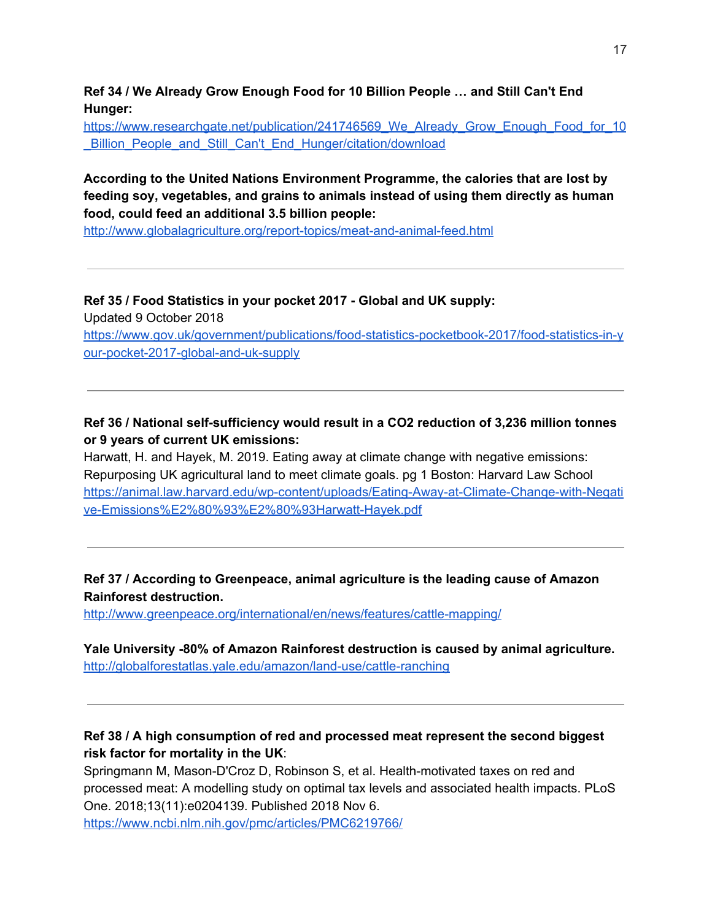**Ref 34 / We Already Grow Enough Food for 10 Billion People … and Still Can't End Hunger:**

https://www.researchgate.net/publication/241746569 We Already Grow Enough Food for 10 [\\_Billion\\_People\\_and\\_Still\\_Can't\\_End\\_Hunger/citation/download](https://www.researchgate.net/publication/241746569_We_Already_Grow_Enough_Food_for_10_Billion_People_and_Still_Can)

# **According to the United Nations Environment Programme, the calories that are lost by feeding soy, vegetables, and grains to animals instead of using them directly as human food, could feed an additional 3.5 billion people:**

<http://www.globalagriculture.org/report-topics/meat-and-animal-feed.html>

**Ref 35 / Food Statistics in your pocket 2017 - Global and UK supply:** Updated 9 October 2018 [https://www.gov.uk/government/publications/food-statistics-pocketbook-2017/food-statistics-in-y](https://www.gov.uk/government/publications/food-statistics-pocketbook-2017/food-statistics-in-your-pocket-2017-global-and-uk-supply) [our-pocket-2017-global-and-uk-supply](https://www.gov.uk/government/publications/food-statistics-pocketbook-2017/food-statistics-in-your-pocket-2017-global-and-uk-supply)

# **Ref 36 / National self-sufficiency would result in a CO2 reduction of 3,236 million tonnes or 9 years of current UK emissions:**

Harwatt, H. and Hayek, M. 2019. Eating away at climate change with negative emissions: Repurposing UK agricultural land to meet climate goals. pg 1 Boston: Harvard Law School [https://animal.law.harvard.edu/wp-content/uploads/Eating-Away-at-Climate-Change-with-Negati](https://animal.law.harvard.edu/wp-content/uploads/Eating-Away-at-Climate-Change-with-Negative-Emissions%E2%80%93%E2%80%93Harwatt-Hayek.pdf) [ve-Emissions%E2%80%93%E2%80%93Harwatt-Hayek.pdf](https://animal.law.harvard.edu/wp-content/uploads/Eating-Away-at-Climate-Change-with-Negative-Emissions%E2%80%93%E2%80%93Harwatt-Hayek.pdf)

# **Ref 37 / According to Greenpeace, animal agriculture is the leading cause of Amazon Rainforest destruction.**

<http://www.greenpeace.org/international/en/news/features/cattle-mapping/>

# **Yale University -80% of Amazon Rainforest destruction is caused by animal agriculture.** <http://globalforestatlas.yale.edu/amazon/land-use/cattle-ranching>

# **Ref 38 / A high consumption of red and processed meat represent the second biggest risk factor for mortality in the UK**:

Springmann M, Mason-D'Croz D, Robinson S, et al. Health-motivated taxes on red and processed meat: A modelling study on optimal tax levels and associated health impacts. PLoS One. 2018;13(11):e0204139. Published 2018 Nov 6.

<https://www.ncbi.nlm.nih.gov/pmc/articles/PMC6219766/>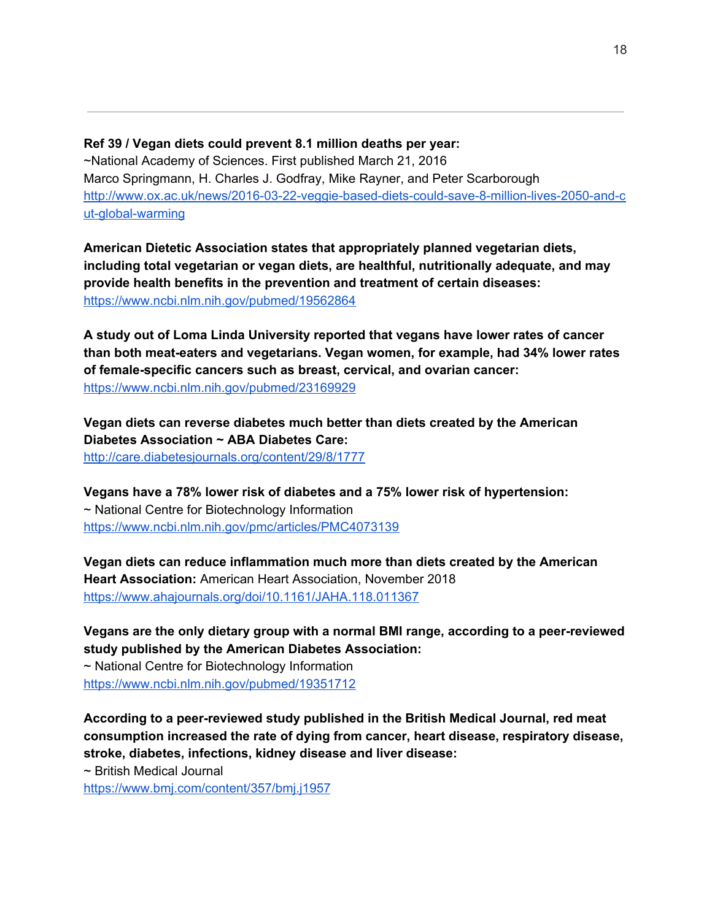**Ref 39 / Vegan diets could prevent 8.1 million deaths per year:** ~National Academy of Sciences. First published March 21, 2016 Marco Springmann, H. Charles J. Godfray, Mike Rayner, and Peter Scarborough [http://www.ox.ac.uk/news/2016-03-22-veggie-based-diets-could-save-8-million-lives-2050-and-c](http://www.ox.ac.uk/news/2016-03-22-veggie-based-diets-could-save-8-million-lives-2050-and-cut-global-warming) [ut-global-warming](http://www.ox.ac.uk/news/2016-03-22-veggie-based-diets-could-save-8-million-lives-2050-and-cut-global-warming)

**American Dietetic Association states that appropriately planned vegetarian diets, including total vegetarian or vegan diets, are healthful, nutritionally adequate, and may provide health benefits in the prevention and treatment of certain diseases:** <https://www.ncbi.nlm.nih.gov/pubmed/19562864>

**A study out of Loma Linda University reported that vegans have lower rates of cancer than both meat-eaters and vegetarians. Vegan women, for example, had 34% lower rates of female-specific cancers such as breast, cervical, and ovarian cancer:** <https://www.ncbi.nlm.nih.gov/pubmed/23169929>

**Vegan diets can reverse diabetes much better than diets created by the American Diabetes Association ~ ABA Diabetes Care:** <http://care.diabetesjournals.org/content/29/8/1777>

**Vegans have a 78% lower risk of diabetes and a 75% lower risk of hypertension:** ~ National Centre for Biotechnology Information <https://www.ncbi.nlm.nih.gov/pmc/articles/PMC4073139>

**Vegan diets can reduce inflammation much more than diets created by the American Heart Association:** American Heart Association, November 2018 <https://www.ahajournals.org/doi/10.1161/JAHA.118.011367>

**Vegans are the only dietary group with a normal BMI range, according to a peer-reviewed study published by the American Diabetes Association:** ~ National Centre for Biotechnology Information <https://www.ncbi.nlm.nih.gov/pubmed/19351712>

**According to a peer-reviewed study published in the British Medical Journal, red meat consumption increased the rate of dying from cancer, heart disease, respiratory disease, stroke, diabetes, infections, kidney disease and liver disease:**

~ British Medical Journal

<https://www.bmj.com/content/357/bmj.j1957>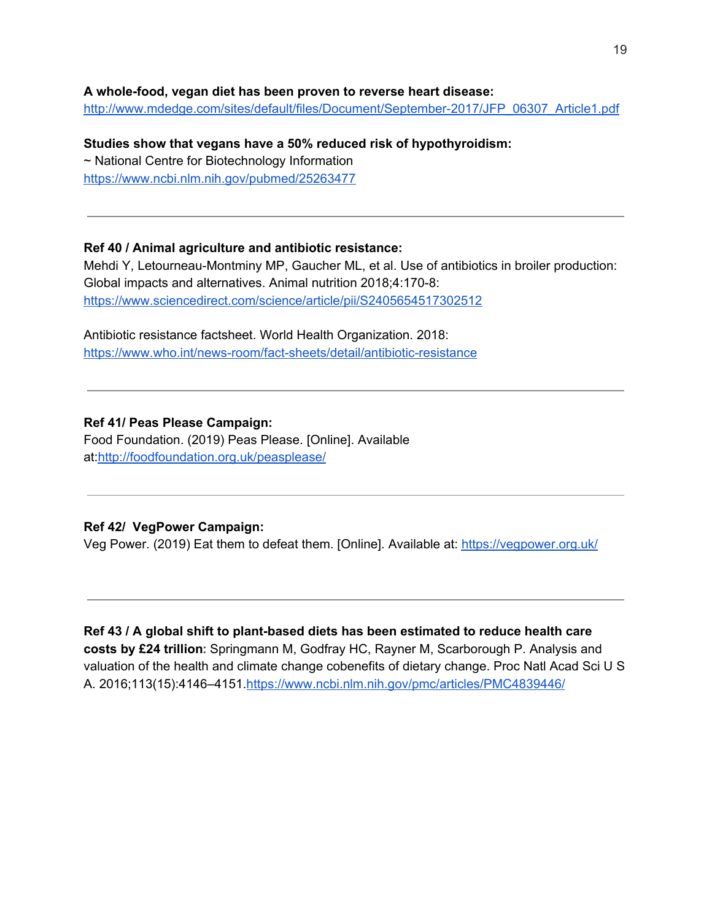#### **A whole-food, vegan diet has been proven to reverse heart disease:**

[http://www.mdedge.com/sites/default/files/Document/September-2017/JFP\\_06307\\_Article1.pdf](http://www.mdedge.com/sites/default/files/Document/September-2017/JFP_06307_Article1.pdf)

**Studies show that vegans have a 50% reduced risk of hypothyroidism:** ~ National Centre for Biotechnology Information <https://www.ncbi.nlm.nih.gov/pubmed/25263477>

#### **Ref 40 / Animal agriculture and antibiotic resistance:**

Mehdi Y, Letourneau-Montminy MP, Gaucher ML, et al. Use of antibiotics in broiler production: Global impacts and alternatives. Animal nutrition 2018;4:170-8: <https://www.sciencedirect.com/science/article/pii/S2405654517302512>

Antibiotic resistance factsheet. World Health Organization. 2018: <https://www.who.int/news-room/fact-sheets/detail/antibiotic-resistance>

### **Ref 41/ Peas Please Campaign:**

Food Foundation. (2019) Peas Please. [Online]. Available at[:http://foodfoundation.org.uk/peasplease/](http://foodfoundation.org.uk/peasplease/)

## **Ref 42/ VegPower Campaign:**

Veg Power. (2019) Eat them to defeat them. [Online]. Available at: <https://vegpower.org.uk/>

**Ref 43 / A global shift to plant-based diets has been estimated to reduce health care costs by £24 trillion:** Springmann M, Godfray HC, Rayner M, Scarborough P. Analysis and valuation of the health and climate change cobenefits of dietary change. Proc Natl Acad Sci U S A. 2016;113(15):4146–4151.<https://www.ncbi.nlm.nih.gov/pmc/articles/PMC4839446/>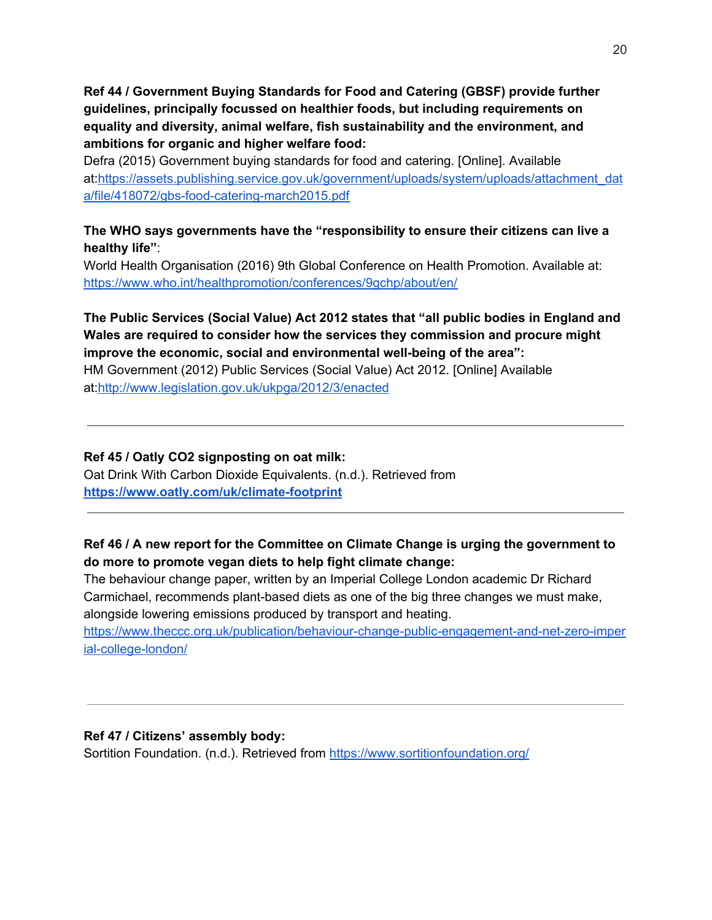**Ref 44 / Government Buying Standards for Food and Catering (GBSF) provide further guidelines, principally focussed on healthier foods, but including requirements on equality and diversity, animal welfare, fish sustainability and the environment, and ambitions for organic and higher welfare food:**

Defra (2015) Government buying standards for food and catering. [Online]. Available at[:https://assets.publishing.service.gov.uk/government/uploads/system/uploads/attachment\\_dat](https://assets.publishing.service.gov.uk/government/uploads/system/uploads/attachment_data/file/418072/gbs-food-catering-march2015.pdf) [a/file/418072/gbs-food-catering-march2015.pdf](https://assets.publishing.service.gov.uk/government/uploads/system/uploads/attachment_data/file/418072/gbs-food-catering-march2015.pdf)

# **The WHO says governments have the "responsibility to ensure their citizens can live a healthy life"**:

World Health Organisation (2016) 9th Global Conference on Health Promotion. Available at: <https://www.who.int/healthpromotion/conferences/9gchp/about/en/>

## **The Public Services (Social Value) Act 2012 states that "all public bodies in England and Wales are required to consider how the services they commission and procure might improve the economic, social and environmental well-being of the area":**

HM Government (2012) Public Services (Social Value) Act 2012. [Online] Available at[:http://www.legislation.gov.uk/ukpga/2012/3/enacted](http://www.legislation.gov.uk/ukpga/2012/3/enacted)

# **Ref 45 / Oatly CO2 signposting on oat milk:** Oat Drink With Carbon Dioxide Equivalents. (n.d.). Retrieved from **<https://www.oatly.com/uk/climate-footprint>**

# **Ref 46 / A new report for the Committee on Climate Change is urging the government to do more to promote vegan diets to help fight climate change:**

The behaviour change paper, written by an Imperial College London academic Dr Richard Carmichael, recommends plant-based diets as one of the big three changes we must make, alongside lowering emissions produced by transport and heating.

[https://www.theccc.org.uk/publication/behaviour-change-public-engagement-and-net-zero-imper](https://www.theccc.org.uk/publication/behaviour-change-public-engagement-and-net-zero-imperial-college-london/) [ial-college-london/](https://www.theccc.org.uk/publication/behaviour-change-public-engagement-and-net-zero-imperial-college-london/)

# **Ref 47 / Citizens' assembly body:**

Sortition Foundation. (n.d.). Retrieved from <https://www.sortitionfoundation.org/>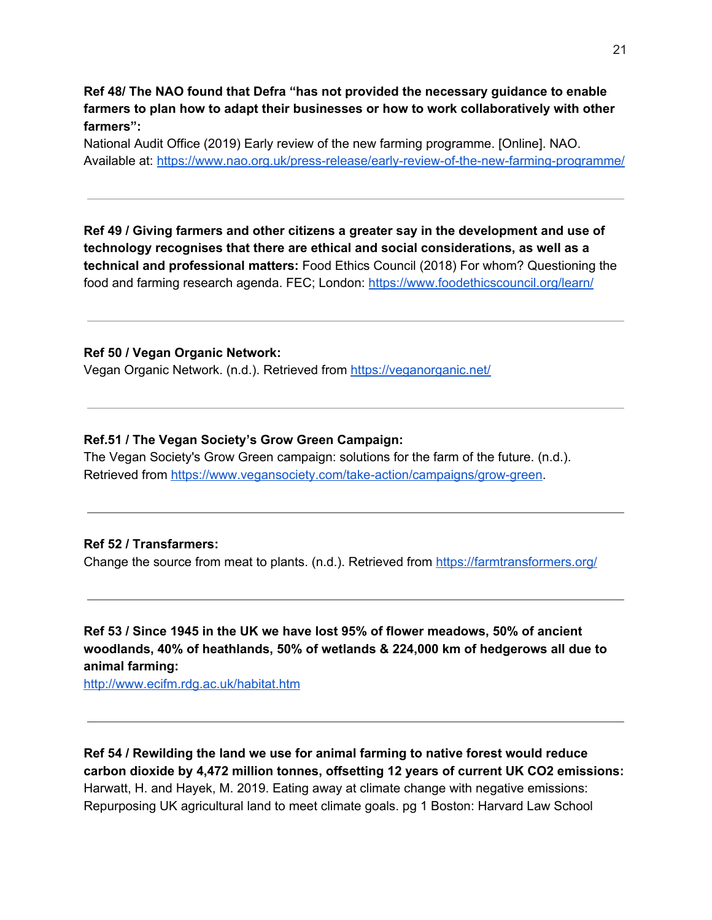**Ref 48/ The NAO found that Defra "has not provided the necessary guidance to enable farmers to plan how to adapt their businesses or how to work collaboratively with other farmers":**

National Audit Office (2019) Early review of the new farming programme. [Online]. NAO. Available at: <https://www.nao.org.uk/press-release/early-review-of-the-new-farming-programme/>

**Ref 49 / Giving farmers and other citizens a greater say in the development and use of technology recognises that there are ethical and social considerations, as well as a technical and professional matters:** Food Ethics Council (2018) For whom? Questioning the food and farming research agenda. FEC; London: <https://www.foodethicscouncil.org/learn/>

#### **Ref 50 / Vegan Organic Network:**

Vegan Organic Network. (n.d.). Retrieved from <https://veganorganic.net/>

#### **Ref.51 / The Vegan Society's Grow Green Campaign:**

The Vegan Society's Grow Green campaign: solutions for the farm of the future. (n.d.). Retrieved from <https://www.vegansociety.com/take-action/campaigns/grow-green>.

#### **Ref 52 / Transfarmers:**

Change the source from meat to plants. (n.d.). Retrieved from <https://farmtransformers.org/>

**Ref 53 / Since 1945 in the UK we have lost 95% of flower meadows, 50% of ancient woodlands, 40% of heathlands, 50% of wetlands & 224,000 km of hedgerows all due to animal farming:**

<http://www.ecifm.rdg.ac.uk/habitat.htm>

**Ref 54 / Rewilding the land we use for animal farming to native forest would reduce carbon dioxide by 4,472 million tonnes, offsetting 12 years of current UK CO2 emissions:** Harwatt, H. and Hayek, M. 2019. Eating away at climate change with negative emissions: Repurposing UK agricultural land to meet climate goals. pg 1 Boston: Harvard Law School